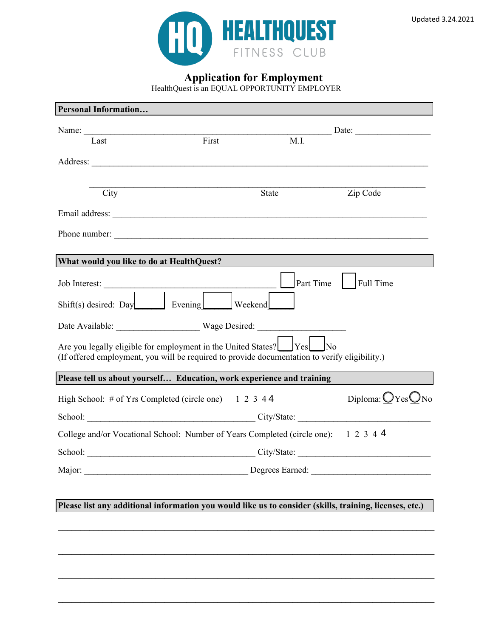



**Application for Employment**

HealthQuest is an EQUAL OPPORTUNITY EMPLOYER

| <b>Personal Information</b>                                                                                                                                                         |       |           |                         |  |
|-------------------------------------------------------------------------------------------------------------------------------------------------------------------------------------|-------|-----------|-------------------------|--|
| Name:                                                                                                                                                                               |       |           | Date: Date:             |  |
| Last                                                                                                                                                                                | First | M.I.      |                         |  |
|                                                                                                                                                                                     |       |           |                         |  |
|                                                                                                                                                                                     |       |           |                         |  |
| City                                                                                                                                                                                |       | State     | Zip Code                |  |
|                                                                                                                                                                                     |       |           |                         |  |
|                                                                                                                                                                                     |       |           |                         |  |
|                                                                                                                                                                                     |       |           |                         |  |
| What would you like to do at HealthQuest?                                                                                                                                           |       |           |                         |  |
|                                                                                                                                                                                     |       | Part Time | Full Time               |  |
| Shift(s) desired: Day Evening Weekend                                                                                                                                               |       |           |                         |  |
| Date Available: Wage Desired:                                                                                                                                                       |       |           |                         |  |
| Are you legally eligible for employment in the United States? $\Box$ Yes $\Box$ No<br>(If offered employment, you will be required to provide documentation to verify eligibility.) |       |           |                         |  |
| Please tell us about yourself Education, work experience and training                                                                                                               |       |           |                         |  |
| High School: # of Yrs Completed (circle one) $1\ 2\ 3\ 4\ 4$                                                                                                                        |       |           | Diploma: $O$ Yes $O$ No |  |
| School: City/State:                                                                                                                                                                 |       |           |                         |  |
| College and/or Vocational School: Number of Years Completed (circle one): 1 2 3 4 4                                                                                                 |       |           |                         |  |
|                                                                                                                                                                                     |       |           |                         |  |
|                                                                                                                                                                                     |       |           |                         |  |
|                                                                                                                                                                                     |       |           |                         |  |
| Please list any additional information you would like us to consider (skills, training, licenses, etc.)                                                                             |       |           |                         |  |
|                                                                                                                                                                                     |       |           |                         |  |

**\_\_\_\_\_\_\_\_\_\_\_\_\_\_\_\_\_\_\_\_\_\_\_\_\_\_\_\_\_\_\_\_\_\_\_\_\_\_\_\_\_\_\_\_\_\_\_\_\_\_\_\_\_\_\_\_\_\_\_\_\_\_\_\_\_\_\_\_\_\_\_\_\_\_\_\_\_\_\_\_\_\_\_\_\_** 

**\_\_\_\_\_\_\_\_\_\_\_\_\_\_\_\_\_\_\_\_\_\_\_\_\_\_\_\_\_\_\_\_\_\_\_\_\_\_\_\_\_\_\_\_\_\_\_\_\_\_\_\_\_\_\_\_\_\_\_\_\_\_\_\_\_\_\_\_\_\_\_\_\_\_\_\_\_\_\_\_\_\_\_\_\_** 

**\_\_\_\_\_\_\_\_\_\_\_\_\_\_\_\_\_\_\_\_\_\_\_\_\_\_\_\_\_\_\_\_\_\_\_\_\_\_\_\_\_\_\_\_\_\_\_\_\_\_\_\_\_\_\_\_\_\_\_\_\_\_\_\_\_\_\_\_\_\_\_\_\_\_\_\_\_\_\_\_\_\_\_\_\_** 

**\_\_\_\_\_\_\_\_\_\_\_\_\_\_\_\_\_\_\_\_\_\_\_\_\_\_\_\_\_\_\_\_\_\_\_\_\_\_\_\_\_\_\_\_\_\_\_\_\_\_\_\_\_\_\_\_\_\_\_\_\_\_\_\_\_\_\_\_\_\_\_\_\_\_\_\_\_\_\_\_\_\_\_\_\_**